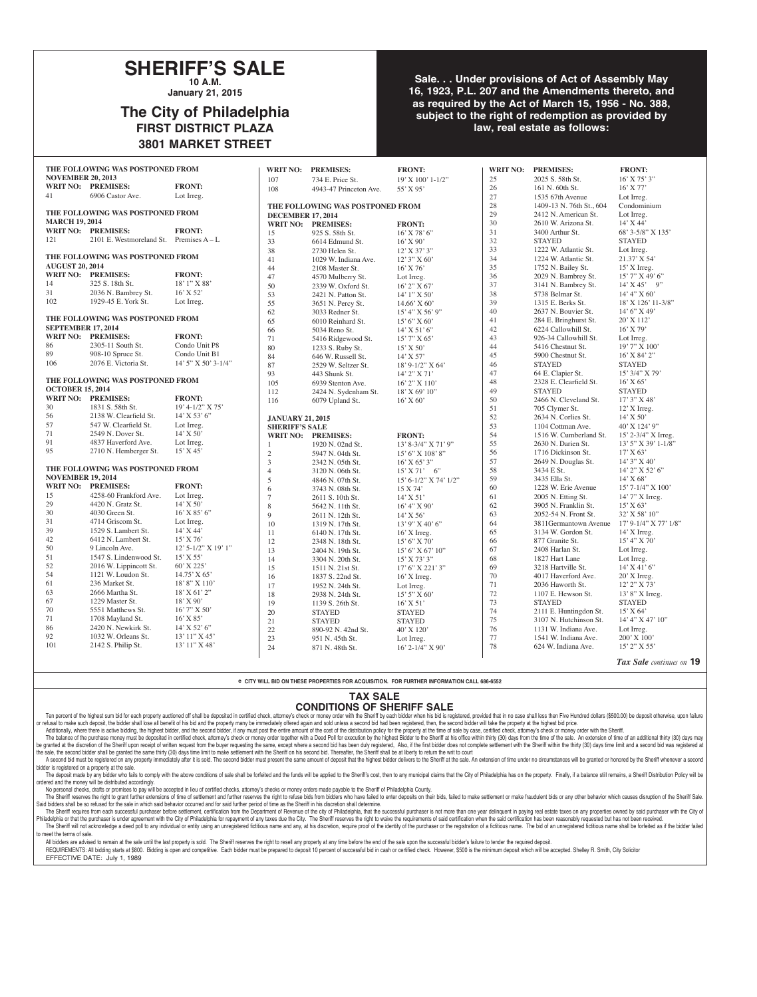## **SHERIFF'S SALE 10 A.M.**

**January 21, 2015**

## **The City of Philadelphia FIRST DISTRICT PLAZA 3801 MARKET STREET**

### **Sale. . . Under provisions of Act of Assembly May 16, 1923, P.L. 207 and the Amendments thereto, and as required by the Act of March 15, 1956 - No. 388, subject to the right of redemption as provided by law, real estate as follows:**

| THE FOLLOWING WAS POSTPONED FROM |                                           |                       | WRIT NO: PREMISES:       | <b>FRONT:</b>                    |                       | WRIT NO: PREMISES: | <b>FRONT:</b>            |                       |
|----------------------------------|-------------------------------------------|-----------------------|--------------------------|----------------------------------|-----------------------|--------------------|--------------------------|-----------------------|
| <b>NOVEMBER 20, 2013</b>         |                                           |                       | 107                      | 734 E. Price St.                 | 19' X 100' 1-1/2"     | 25                 | 2025 S. 58th St.         | 16' X 75' 3"          |
|                                  | WRIT NO: PREMISES:                        | <b>FRONT:</b>         | 108                      | 4943-47 Princeton Ave.           | 55' X 95'             | 26                 | 161 N. 60th St.          | $16'$ X 77'           |
| 41                               | 6906 Castor Ave.                          | Lot Irreg.            |                          |                                  |                       | 27                 | 1535 67th Avenue         | Lot Irreg.            |
|                                  |                                           |                       |                          | THE FOLLOWING WAS POSTPONED FROM |                       | 28                 | 1409-13 N. 76th St., 604 | Condominium           |
| THE FOLLOWING WAS POSTPONED FROM |                                           |                       | <b>DECEMBER 17, 2014</b> |                                  |                       | 29                 | 2412 N. American St.     | Lot Irreg.            |
| <b>MARCH 19, 2014</b>            |                                           |                       |                          | WRIT NO: PREMISES:               | <b>FRONT:</b>         | 30                 | 2610 W. Arizona St.      | 14' X 44'             |
|                                  | WRIT NO: PREMISES:                        | <b>FRONT:</b>         | 15                       | 925 S. 58th St.                  | 16' X 78' 6"          | 31                 | 3400 Arthur St.          | 68' 3-5/8" X 135'     |
| 121                              | 2101 E. Westmoreland St. Premises $A - L$ |                       | 33                       | 6614 Edmund St.                  | $16'$ X 90'           | 32                 | <b>STAYED</b>            | <b>STAYED</b>         |
|                                  |                                           |                       | 38                       | 2730 Helen St.                   | 12' X 37' 3"          | 33                 | 1222 W. Atlantic St.     | Lot Irreg.            |
|                                  | THE FOLLOWING WAS POSTPONED FROM          |                       | 41                       | 1029 W. Indiana Ave.             | 12' 3" X 60'          | 34                 | 1224 W. Atlantic St.     | 21.37' X 54'          |
| <b>AUGUST 20, 2014</b>           |                                           |                       | 44                       | 2108 Master St.                  | 16' X 76'             | 35                 | 1752 N. Bailey St.       | 15' X Irreg.          |
|                                  | WRIT NO: PREMISES:                        | <b>FRONT:</b>         | 47                       | 4570 Mulberry St.                | Lot Irreg.            | 36                 | 2029 N. Bambrey St.      | 15' 7" X 49' 6"       |
| 14                               | 325 S. 18th St.                           | $18'1''$ X 88'        | 50                       | 2339 W. Oxford St.               | 16' 2" X 67'          | 37                 | 3141 N. Bambrey St.      | $14'$ X 45' 9"        |
| 31                               | 2036 N. Bambrey St.                       | $16'$ X 52'           | 53                       | 2421 N. Patton St.               | 14' 1" X 50'          | 38                 | 5738 Belmar St.          | 14' 4" X 60'          |
| 102                              | 1929-45 E. York St.                       | Lot Irreg.            | 55                       | 3651 N. Percy St.                | $14.66'$ X 60'        | 39                 | 1315 E. Berks St.        | 18' X 126' 11-3/8"    |
|                                  |                                           |                       | 62                       | 3033 Redner St.                  | 15' 4" X 56' 9"       | 40                 | 2637 N. Bouvier St.      | 14' 6" X 49'          |
|                                  | THE FOLLOWING WAS POSTPONED FROM          |                       | 65                       | 6010 Reinhard St.                | 15' 6'' X 60'         | 41                 | 284 E. Bringhurst St.    | 20' X 112'            |
| <b>SEPTEMBER 17, 2014</b>        |                                           |                       | 66                       | 5034 Reno St.                    | $14'$ X 51' 6"        | 42                 | 6224 Callowhill St.      | 16' X 79'             |
|                                  | WRIT NO: PREMISES:                        | <b>FRONT:</b>         | 71                       | 5416 Ridgewood St.               | 15' 7" X 65'          | 43                 | 926-34 Callowhill St.    | Lot Irreg.            |
| 86                               | 2305-11 South St.                         | Condo Unit P8         | 80                       | 1233 S. Ruby St.                 | $15'$ X 50'           | 44                 | 5416 Chestnut St.        | 19' 7" X 100'         |
| 89                               | 908-10 Spruce St.                         | Condo Unit B1         | 84                       | 646 W. Russell St.               | 14' X 57'             | 45                 | 5900 Chestnut St.        | 16' X 84' 2"          |
| 106                              | 2076 E. Victoria St.                      | $14'$ 5" X 50' 3-1/4" | 87                       | 2529 W. Seltzer St.              | $18' 9 - 1/2''$ X 64' | 46                 | <b>STAYED</b>            | <b>STAYED</b>         |
|                                  |                                           |                       | 93                       | 443 Shunk St.                    | 14' 2" X 71'          | 47                 | 64 E. Clapier St.        | $15'$ 3/4" X 79'      |
|                                  | THE FOLLOWING WAS POSTPONED FROM          |                       | 105                      | 6939 Stenton Ave.                | 16' 2" X 110'         | 48                 | 2328 E. Clearfield St.   | $16'$ X 65'           |
| <b>OCTOBER 15, 2014</b>          |                                           |                       | 112                      | 2424 N. Sydenham St.             | 18' X 69' 10"         | 49                 | <b>STAYED</b>            | <b>STAYED</b>         |
|                                  | WRIT NO: PREMISES:                        | <b>FRONT:</b>         | 116                      | 6079 Upland St.                  | 16' X 60'             | 50                 | 2466 N. Cleveland St.    | 17' 3" X 48'          |
| 30                               | 1831 S. 58th St.                          | $19' 4 - 1/2'' X 75'$ |                          |                                  |                       | 51                 | 705 Clymer St.           | 12' X Irreg.          |
| 56                               | 2138 W. Clearfield St.                    | $14'$ X 53' 6"        | <b>JANUARY 21, 2015</b>  |                                  |                       | 52                 | 2634 N. Corlies St.      | $14'$ X 50'           |
| 57                               | 547 W. Clearfield St.                     | Lot Irreg.            | <b>SHERIFF'S SALE</b>    |                                  |                       | 53                 | 1104 Cottman Ave.        | 40' X 124' 9"         |
| 71                               | 2549 N. Dover St.                         | $14'$ X 50'           | <b>WRIT NO:</b>          | <b>PREMISES:</b>                 | <b>FRONT:</b>         | 54                 | 1516 W. Cumberland St.   | 15' 2-3/4" X Irreg.   |
| 91                               | 4837 Haverford Ave.                       | Lot Irreg.            | $\overline{1}$           | 1920 N. 02nd St.                 | 13' 8-3/4" X 71' 9"   | 55                 | 2630 N. Darien St.       | 13' 5" X 39' 1-1/8"   |
| 95                               | 2710 N. Hemberger St.                     | $15'$ X 45'           | $\sqrt{2}$               | 5947 N. 04th St.                 | 15' 6" X 108' 8"      | 56                 | 1716 Dickinson St.       | 17' X 63'             |
|                                  |                                           |                       | 3                        | 2342 N. 05th St.                 | $16'$ X 65' 3"        | 57                 | 2649 N. Douglas St.      | 14' 3" X 40'          |
| THE FOLLOWING WAS POSTPONED FROM |                                           |                       | $\overline{4}$           | 3120 N. 06th St.                 | $15'$ X 71' 6"        | 58                 | 3434 E St.               | 14' 2" X 52' 6"       |
| <b>NOVEMBER 19, 2014</b>         |                                           |                       | 5                        | 4846 N. 07th St.                 | 15' 6-1/2" X 74' 1/2" | 59                 | 3435 Ella St.            | $14'$ X 68'           |
|                                  | WRIT NO: PREMISES:                        | <b>FRONT:</b>         | 6                        | 3743 N. 08th St.                 | 15 X 74'              | 60                 | 1228 W. Erie Avenue      | 15' 7-1/4" X 100'     |
| 15                               | 4258-60 Frankford Ave.                    | Lot Irreg.            | $\tau$                   | 2611 S. 10th St.                 | $14'$ X 51'           | 61                 | 2005 N. Etting St.       | 14' 7" X Irreg.       |
| 29                               | 4420 N. Gratz St.                         | $14'$ X 50'           | 8                        | 5642 N. 11th St.                 | 16' 4" X 90'          | 62                 | 3905 N. Franklin St.     | 15' X 63'             |
| $30\,$                           | 4030 Green St.                            | $16'$ X 85' 6"        | 9                        | 2611 N. 12th St.                 | $14'$ X 56'           | 63                 | 2052-54 N. Front St.     | 32' X 58' 10"         |
| 31                               | 4714 Griscom St.                          | Lot Irreg.            | 10                       | 1319 N. 17th St.                 | 13' 9" X 40' 6"       | 64                 | 3811 Germantown Avenue   | 17' 9-1/4" X 77' 1/8" |
| 39                               | 1529 S. Lambert St.                       | 14' X 44'             | 11                       | 6140 N. 17th St.                 | $16'$ X Irreg.        | 65                 | 3134 W. Gordon St.       | 14' X Irreg.          |
| 42                               | 6412 N. Lambert St.                       | $15'$ X 76'           | 12                       | 2348 N. 18th St.                 | 15' 6''  X 70'        | 66                 | 877 Granite St.          | 15' 4'' X 70'         |
| 50                               | 9 Lincoln Ave.                            | 12' 5-1/2" X 19' 1"   | 13                       | 2404 N. 19th St.                 | 15' 6" X 67' 10"      | 67                 | 2408 Harlan St.          | Lot Irreg.            |
| 51                               | 1547 S. Lindenwood St.                    | $15'$ X 55'           | 14                       | 3304 N. 20th St.                 | $15'$ X 73' 3"        | 68                 | 1827 Hart Lane           | Lot Irreg.            |
| 52                               | 2016 W. Lippincott St.                    | 60' X 225'            | 15                       | 1511 N. 21st St.                 | $17'$ 6" X 221' 3"    | 69                 | 3218 Hartville St.       | $14'$ X 41' 6"        |
| 54                               | 1121 W. Loudon St.                        | 14.75' X 65'          | 16                       | 1837 S. 22nd St.                 | $16'$ X Irreg.        | $70\,$             | 4017 Haverford Ave.      | 20' X Irreg.          |
| 61                               | 236 Market St.                            | 18' 8" X 110'         | 17                       | 1952 N. 24th St.                 | Lot Irreg.            | 71                 | 2036 Haworth St.         | 12' 2" X 73'          |
| 63                               | 2666 Martha St.                           | 18' X 61' 2"          | 18                       | 2938 N. 24th St.                 | 15' 5" X 60'          | 72                 | 1107 E. Hewson St.       | 13' 8" X Irreg.       |
| 67                               | 1229 Master St.                           | 18' X 90'             | 19                       | 1139 S. 26th St.                 | $16'$ X 51'           | 73                 | <b>STAYED</b>            | <b>STAYED</b>         |
| 70                               | 5551 Matthews St.                         | $16'$ 7" X 50'        | 20                       | <b>STAYED</b>                    | <b>STAYED</b>         | 74                 | 2111 E. Huntingdon St.   | 15' X 64'             |
| 71                               | 1708 Mayland St.                          | $16'$ X 85'           | 21                       | <b>STAYED</b>                    | <b>STAYED</b>         | 75                 | 3107 N. Hutchinson St.   | 14' 4" X 47' 10"      |
| 86                               | 2420 N. Newkirk St.                       | 14' X 52' 6"          | 22                       | 890-92 N. 42nd St.               | 40' X 120'            | 76                 | 1131 W. Indiana Ave.     | Lot Irreg.            |
| 92                               | 1032 W. Orleans St.                       | 13' 11" X 45'         | 23                       | 951 N. 45th St.                  | Lot Irreg.            | 77                 | 1541 W. Indiana Ave.     | 200' X 100'           |
| 101                              | 2142 S. Philip St.                        | $13'$ $11''$ X $48'$  | 24                       | 871 N. 48th St.                  | 16' 2-1/4" X 90'      | 78                 | 624 W. Indiana Ave.      | 15' 2" X 55'          |
|                                  |                                           |                       |                          |                                  |                       |                    |                          |                       |

#### *Tax Sale continues on* **19**

**e CITY WILL BID ON THESE PROPERTIES FOR ACQUISITION. FOR FURTHER INFORMATION CALL 686-6552**

### **TAX SALE**

### **CONDITIONS OF SHERIFF SALE**

Ten percent of the highest sum bid for each property auctioned off shall be deposited in certified check, attorney's check or money order with the Sheriff by each bidder when his bid is registered, provided that in no case or refusal to make such deposit, the bidder shall lose all benefit of his bid and the property many be immediately offered again and sold unless a second bid had been registered, then, the second bidder will take the prope

Additionally, where there is active bidding, the highest bidder, and the second bidder, if any must pecond bidder, if any must post the entire amount of the cost of the distribution policy for the property at the the Sale

the sale, the second bidder shall be granted the same thirty (30) days time limit to make settlement with the Sheriff on his second bid. Thereafter, the Sheriff shall be at liberty to return the writ to court A second bid must be registered on any property immediately after it is sold. The second bidder must present the same amount of deposit that the highest bidder delivers to the Sheriff at the sale. An extension of time unde bidder is registered on a property at the sale.

The deposit made by any bidder who fails to comply with the above conditions of sale shall be forfeited and the funds will be applied to the Sheriff's cost, then to any municipal claims that the City of Philadelphia has on ordered and the money will be distributed accordingly.

No personal checks, drafts or promises to pay will be accepted in lieu of certified checks, attorney's checks or money orders made payable to the Sheriff of Philadelphia County. The Sheriff reserves the right to grant further extensions of time of settlement and further reserves the right to refuse bids from bidders who have failed to enter deposits on their bids, failed to make settlement or make Said bidders shall be so refused for the sale in which said behavior occurred and for said further period of time as the Sheriff in his discretion shall determine.

The Sheriff requires from each successful purchaser before settlement, certification from the Department of Revenue of the city of Philadelphia, that the successful purchaser is not more than one year delinquent in paying Philadelphia or that the purchaser is under agreement with the City of Philadelphia for repayment of any taxes due the City. The Shenff reserves the right to waive the requirements of said certification when the said certi to meet the terms of sale.

All bidders are advised to remain at the sale until the last property is sold. The Sheriff reserves the right to resell any property at any time before the end of the sale upon the successful bidder's failure to tender the

REQUIREMENTS: All bidding starts at \$800. Bidding is open and competitive. Each bidder must be prepared to deposit 10 percent of successful bid in cash or certified check. However, \$500 is the minimum deposit which will be EFFECTIVE DATE: July 1, 1989